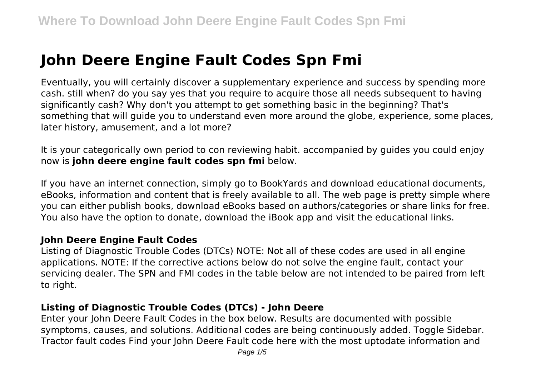# **John Deere Engine Fault Codes Spn Fmi**

Eventually, you will certainly discover a supplementary experience and success by spending more cash. still when? do you say yes that you require to acquire those all needs subsequent to having significantly cash? Why don't you attempt to get something basic in the beginning? That's something that will guide you to understand even more around the globe, experience, some places, later history, amusement, and a lot more?

It is your categorically own period to con reviewing habit. accompanied by guides you could enjoy now is **john deere engine fault codes spn fmi** below.

If you have an internet connection, simply go to BookYards and download educational documents, eBooks, information and content that is freely available to all. The web page is pretty simple where you can either publish books, download eBooks based on authors/categories or share links for free. You also have the option to donate, download the iBook app and visit the educational links.

#### **John Deere Engine Fault Codes**

Listing of Diagnostic Trouble Codes (DTCs) NOTE: Not all of these codes are used in all engine applications. NOTE: If the corrective actions below do not solve the engine fault, contact your servicing dealer. The SPN and FMI codes in the table below are not intended to be paired from left to right.

#### **Listing of Diagnostic Trouble Codes (DTCs) - John Deere**

Enter your John Deere Fault Codes in the box below. Results are documented with possible symptoms, causes, and solutions. Additional codes are being continuously added. Toggle Sidebar. Tractor fault codes Find your John Deere Fault code here with the most uptodate information and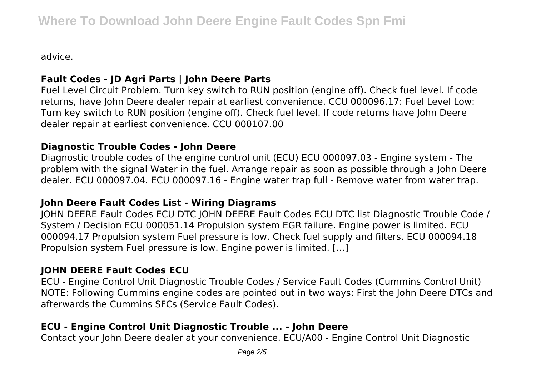advice.

# **Fault Codes - JD Agri Parts | John Deere Parts**

Fuel Level Circuit Problem. Turn key switch to RUN position (engine off). Check fuel level. If code returns, have John Deere dealer repair at earliest convenience. CCU 000096.17: Fuel Level Low: Turn key switch to RUN position (engine off). Check fuel level. If code returns have John Deere dealer repair at earliest convenience. CCU 000107.00

#### **Diagnostic Trouble Codes - John Deere**

Diagnostic trouble codes of the engine control unit (ECU) ECU 000097.03 - Engine system - The problem with the signal Water in the fuel. Arrange repair as soon as possible through a John Deere dealer. ECU 000097.04. ECU 000097.16 - Engine water trap full - Remove water from water trap.

## **John Deere Fault Codes List - Wiring Diagrams**

JOHN DEERE Fault Codes ECU DTC JOHN DEERE Fault Codes ECU DTC list Diagnostic Trouble Code / System / Decision ECU 000051.14 Propulsion system EGR failure. Engine power is limited. ECU 000094.17 Propulsion system Fuel pressure is low. Check fuel supply and filters. ECU 000094.18 Propulsion system Fuel pressure is low. Engine power is limited. […]

## **JOHN DEERE Fault Codes ECU**

ECU - Engine Control Unit Diagnostic Trouble Codes / Service Fault Codes (Cummins Control Unit) NOTE: Following Cummins engine codes are pointed out in two ways: First the John Deere DTCs and afterwards the Cummins SFCs (Service Fault Codes).

# **ECU - Engine Control Unit Diagnostic Trouble ... - John Deere**

Contact your John Deere dealer at your convenience. ECU/A00 - Engine Control Unit Diagnostic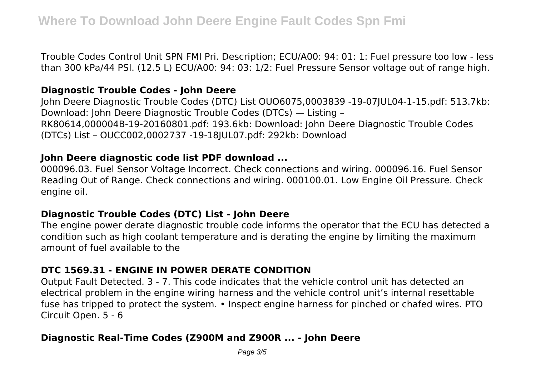Trouble Codes Control Unit SPN FMI Pri. Description; ECU/A00: 94: 01: 1: Fuel pressure too low - less than 300 kPa/44 PSI. (12.5 L) ECU/A00: 94: 03: 1/2: Fuel Pressure Sensor voltage out of range high.

#### **Diagnostic Trouble Codes - John Deere**

John Deere Diagnostic Trouble Codes (DTC) List OUO6075,0003839 -19-07JUL04-1-15.pdf: 513.7kb: Download: John Deere Diagnostic Trouble Codes (DTCs) — Listing – RK80614,000004B-19-20160801.pdf: 193.6kb: Download: John Deere Diagnostic Trouble Codes (DTCs) List – OUCC002,0002737 -19-18JUL07.pdf: 292kb: Download

#### **John Deere diagnostic code list PDF download ...**

000096.03. Fuel Sensor Voltage Incorrect. Check connections and wiring. 000096.16. Fuel Sensor Reading Out of Range. Check connections and wiring. 000100.01. Low Engine Oil Pressure. Check engine oil.

## **Diagnostic Trouble Codes (DTC) List - John Deere**

The engine power derate diagnostic trouble code informs the operator that the ECU has detected a condition such as high coolant temperature and is derating the engine by limiting the maximum amount of fuel available to the

## **DTC 1569.31 - ENGINE IN POWER DERATE CONDITION**

Output Fault Detected. 3 - 7. This code indicates that the vehicle control unit has detected an electrical problem in the engine wiring harness and the vehicle control unit's internal resettable fuse has tripped to protect the system. • Inspect engine harness for pinched or chafed wires. PTO Circuit Open. 5 - 6

## **Diagnostic Real-Time Codes (Z900M and Z900R ... - John Deere**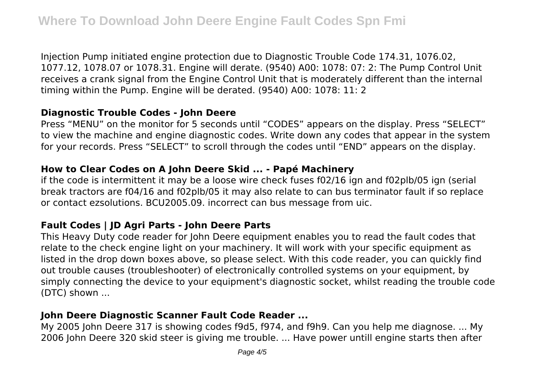Injection Pump initiated engine protection due to Diagnostic Trouble Code 174.31, 1076.02, 1077.12, 1078.07 or 1078.31. Engine will derate. (9540) A00: 1078: 07: 2: The Pump Control Unit receives a crank signal from the Engine Control Unit that is moderately different than the internal timing within the Pump. Engine will be derated. (9540) A00: 1078: 11: 2

### **Diagnostic Trouble Codes - John Deere**

Press "MENU" on the monitor for 5 seconds until "CODES" appears on the display. Press "SELECT" to view the machine and engine diagnostic codes. Write down any codes that appear in the system for your records. Press "SELECT" to scroll through the codes until "END" appears on the display.

#### **How to Clear Codes on A John Deere Skid ... - Papé Machinery**

if the code is intermittent it may be a loose wire check fuses f02/16 ign and f02plb/05 ign (serial break tractors are f04/16 and f02plb/05 it may also relate to can bus terminator fault if so replace or contact ezsolutions. BCU2005.09. incorrect can bus message from uic.

## **Fault Codes | JD Agri Parts - John Deere Parts**

This Heavy Duty code reader for John Deere equipment enables you to read the fault codes that relate to the check engine light on your machinery. It will work with your specific equipment as listed in the drop down boxes above, so please select. With this code reader, you can quickly find out trouble causes (troubleshooter) of electronically controlled systems on your equipment, by simply connecting the device to your equipment's diagnostic socket, whilst reading the trouble code (DTC) shown ...

## **John Deere Diagnostic Scanner Fault Code Reader ...**

My 2005 John Deere 317 is showing codes f9d5, f974, and f9h9. Can you help me diagnose. ... My 2006 John Deere 320 skid steer is giving me trouble. ... Have power untill engine starts then after